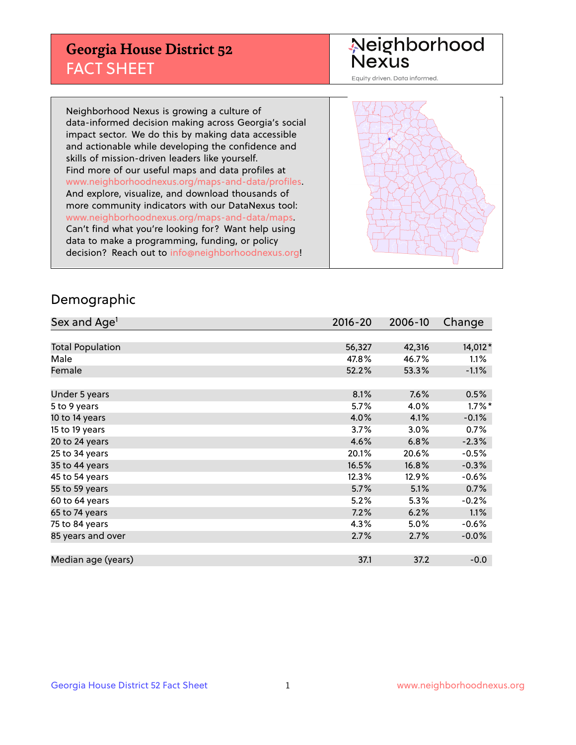## **Georgia House District 52** FACT SHEET

# Neighborhood<br>Nexus

Equity driven. Data informed.

Neighborhood Nexus is growing a culture of data-informed decision making across Georgia's social impact sector. We do this by making data accessible and actionable while developing the confidence and skills of mission-driven leaders like yourself. Find more of our useful maps and data profiles at www.neighborhoodnexus.org/maps-and-data/profiles. And explore, visualize, and download thousands of more community indicators with our DataNexus tool: www.neighborhoodnexus.org/maps-and-data/maps. Can't find what you're looking for? Want help using data to make a programming, funding, or policy decision? Reach out to [info@neighborhoodnexus.org!](mailto:info@neighborhoodnexus.org)



### Demographic

| Sex and Age <sup>1</sup> | $2016 - 20$ | 2006-10 | Change    |
|--------------------------|-------------|---------|-----------|
|                          |             |         |           |
| <b>Total Population</b>  | 56,327      | 42,316  | 14,012*   |
| Male                     | 47.8%       | 46.7%   | $1.1\%$   |
| Female                   | 52.2%       | 53.3%   | $-1.1\%$  |
|                          |             |         |           |
| Under 5 years            | 8.1%        | 7.6%    | 0.5%      |
| 5 to 9 years             | 5.7%        | 4.0%    | $1.7\%$ * |
| 10 to 14 years           | 4.0%        | 4.1%    | $-0.1%$   |
| 15 to 19 years           | 3.7%        | 3.0%    | 0.7%      |
| 20 to 24 years           | 4.6%        | 6.8%    | $-2.3%$   |
| 25 to 34 years           | 20.1%       | 20.6%   | $-0.5%$   |
| 35 to 44 years           | 16.5%       | 16.8%   | $-0.3%$   |
| 45 to 54 years           | 12.3%       | 12.9%   | $-0.6%$   |
| 55 to 59 years           | 5.7%        | 5.1%    | 0.7%      |
| 60 to 64 years           | 5.2%        | 5.3%    | $-0.2%$   |
| 65 to 74 years           | 7.2%        | 6.2%    | 1.1%      |
| 75 to 84 years           | 4.3%        | 5.0%    | $-0.6%$   |
| 85 years and over        | 2.7%        | 2.7%    | $-0.0\%$  |
|                          |             |         |           |
| Median age (years)       | 37.1        | 37.2    | $-0.0$    |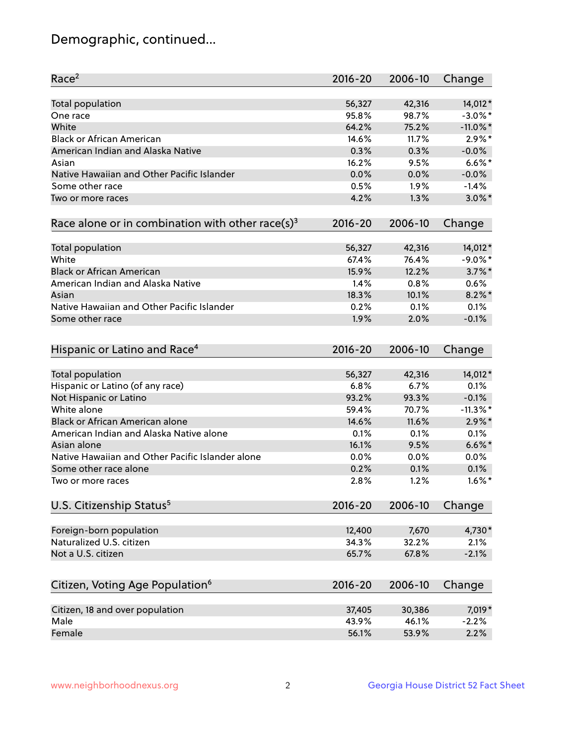## Demographic, continued...

| Race <sup>2</sup>                                            | $2016 - 20$ | 2006-10 | Change      |
|--------------------------------------------------------------|-------------|---------|-------------|
| <b>Total population</b>                                      | 56,327      | 42,316  | 14,012*     |
| One race                                                     | 95.8%       | 98.7%   | $-3.0\%$ *  |
| White                                                        | 64.2%       | 75.2%   | $-11.0\%$ * |
| <b>Black or African American</b>                             | 14.6%       | 11.7%   | $2.9\%$ *   |
| American Indian and Alaska Native                            | 0.3%        | 0.3%    | $-0.0%$     |
| Asian                                                        | 16.2%       | 9.5%    | $6.6\%$ *   |
| Native Hawaiian and Other Pacific Islander                   | 0.0%        | 0.0%    | $-0.0%$     |
| Some other race                                              | 0.5%        | 1.9%    | $-1.4%$     |
| Two or more races                                            | 4.2%        | 1.3%    | $3.0\%$ *   |
| Race alone or in combination with other race(s) <sup>3</sup> | $2016 - 20$ | 2006-10 | Change      |
| Total population                                             | 56,327      | 42,316  | 14,012*     |
| White                                                        | 67.4%       | 76.4%   | $-9.0\%$ *  |
| <b>Black or African American</b>                             | 15.9%       | 12.2%   | $3.7\%$ *   |
| American Indian and Alaska Native                            | 1.4%        | 0.8%    | 0.6%        |
| Asian                                                        | 18.3%       | 10.1%   | $8.2\%$ *   |
| Native Hawaiian and Other Pacific Islander                   | 0.2%        | 0.1%    | 0.1%        |
| Some other race                                              | 1.9%        | 2.0%    | $-0.1%$     |
|                                                              |             |         |             |
| Hispanic or Latino and Race <sup>4</sup>                     | $2016 - 20$ | 2006-10 | Change      |
| Total population                                             | 56,327      | 42,316  | 14,012*     |
| Hispanic or Latino (of any race)                             | 6.8%        | 6.7%    | 0.1%        |
| Not Hispanic or Latino                                       | 93.2%       | 93.3%   | $-0.1%$     |
| White alone                                                  | 59.4%       | 70.7%   | $-11.3\%$ * |
| Black or African American alone                              | 14.6%       | 11.6%   | $2.9\%$ *   |
| American Indian and Alaska Native alone                      | 0.1%        | 0.1%    | 0.1%        |
| Asian alone                                                  | 16.1%       | 9.5%    | $6.6\%$ *   |
| Native Hawaiian and Other Pacific Islander alone             | 0.0%        | 0.0%    | 0.0%        |
| Some other race alone                                        | 0.2%        | 0.1%    | 0.1%        |
| Two or more races                                            | 2.8%        | 1.2%    | $1.6\%$ *   |
| U.S. Citizenship Status <sup>5</sup>                         | 2016-20     | 2006-10 | Change      |
|                                                              |             |         |             |
| Foreign-born population                                      | 12,400      | 7,670   | 4,730*      |
| Naturalized U.S. citizen                                     | 34.3%       | 32.2%   | 2.1%        |
| Not a U.S. citizen                                           | 65.7%       | 67.8%   | $-2.1%$     |
| Citizen, Voting Age Population <sup>6</sup>                  | 2016-20     | 2006-10 | Change      |
| Citizen, 18 and over population                              | 37,405      | 30,386  | 7,019*      |
| Male                                                         | 43.9%       | 46.1%   | $-2.2%$     |
| Female                                                       | 56.1%       | 53.9%   | 2.2%        |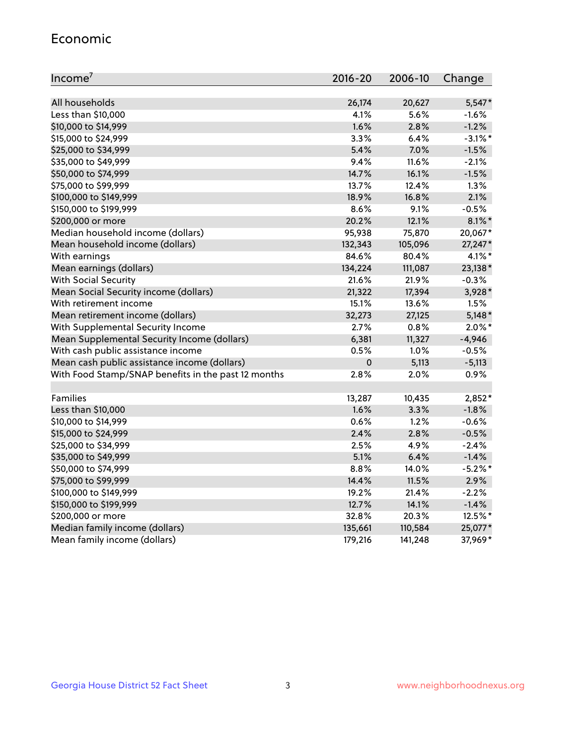#### Economic

| Income <sup>7</sup>                                 | $2016 - 20$ | 2006-10 | Change     |
|-----------------------------------------------------|-------------|---------|------------|
|                                                     |             |         |            |
| All households                                      | 26,174      | 20,627  | $5,547*$   |
| Less than \$10,000                                  | 4.1%        | 5.6%    | $-1.6%$    |
| \$10,000 to \$14,999                                | 1.6%        | 2.8%    | $-1.2%$    |
| \$15,000 to \$24,999                                | 3.3%        | 6.4%    | $-3.1\%$ * |
| \$25,000 to \$34,999                                | 5.4%        | 7.0%    | $-1.5%$    |
| \$35,000 to \$49,999                                | 9.4%        | 11.6%   | $-2.1%$    |
| \$50,000 to \$74,999                                | 14.7%       | 16.1%   | $-1.5%$    |
| \$75,000 to \$99,999                                | 13.7%       | 12.4%   | 1.3%       |
| \$100,000 to \$149,999                              | 18.9%       | 16.8%   | 2.1%       |
| \$150,000 to \$199,999                              | 8.6%        | 9.1%    | $-0.5%$    |
| \$200,000 or more                                   | 20.2%       | 12.1%   | $8.1\%$ *  |
| Median household income (dollars)                   | 95,938      | 75,870  | 20,067*    |
| Mean household income (dollars)                     | 132,343     | 105,096 | 27,247*    |
| With earnings                                       | 84.6%       | 80.4%   | 4.1%*      |
| Mean earnings (dollars)                             | 134,224     | 111,087 | 23,138*    |
| <b>With Social Security</b>                         | 21.6%       | 21.9%   | $-0.3%$    |
| Mean Social Security income (dollars)               | 21,322      | 17,394  | 3,928*     |
| With retirement income                              | 15.1%       | 13.6%   | 1.5%       |
| Mean retirement income (dollars)                    | 32,273      | 27,125  | $5,148*$   |
| With Supplemental Security Income                   | $2.7\%$     | 0.8%    | $2.0\%$ *  |
| Mean Supplemental Security Income (dollars)         | 6,381       | 11,327  | $-4,946$   |
| With cash public assistance income                  | 0.5%        | 1.0%    | $-0.5%$    |
| Mean cash public assistance income (dollars)        | $\mathbf 0$ | 5,113   | $-5,113$   |
| With Food Stamp/SNAP benefits in the past 12 months | 2.8%        | 2.0%    | 0.9%       |
|                                                     |             |         |            |
| Families                                            | 13,287      | 10,435  | $2,852*$   |
| Less than \$10,000                                  | 1.6%        | 3.3%    | $-1.8%$    |
| \$10,000 to \$14,999                                | 0.6%        | 1.2%    | $-0.6%$    |
| \$15,000 to \$24,999                                | 2.4%        | 2.8%    | $-0.5%$    |
| \$25,000 to \$34,999                                | 2.5%        | 4.9%    | $-2.4%$    |
| \$35,000 to \$49,999                                | 5.1%        | 6.4%    | $-1.4%$    |
| \$50,000 to \$74,999                                | 8.8%        | 14.0%   | $-5.2%$ *  |
| \$75,000 to \$99,999                                | 14.4%       | 11.5%   | 2.9%       |
| \$100,000 to \$149,999                              | 19.2%       | 21.4%   | $-2.2%$    |
| \$150,000 to \$199,999                              | 12.7%       | 14.1%   | $-1.4%$    |
| \$200,000 or more                                   | 32.8%       | 20.3%   | 12.5%*     |
| Median family income (dollars)                      | 135,661     | 110,584 | 25,077*    |
| Mean family income (dollars)                        | 179,216     | 141,248 | 37,969*    |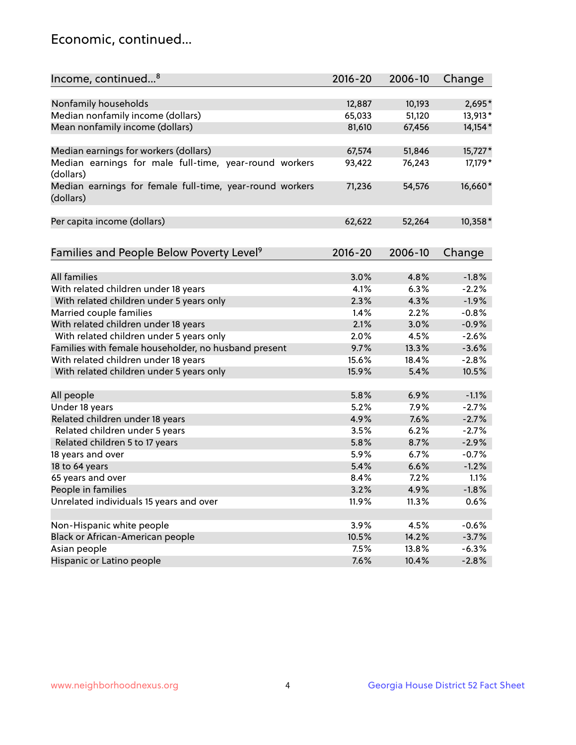## Economic, continued...

| Income, continued <sup>8</sup>                                        | $2016 - 20$ | 2006-10 | Change   |
|-----------------------------------------------------------------------|-------------|---------|----------|
|                                                                       |             |         |          |
| Nonfamily households                                                  | 12,887      | 10,193  | 2,695*   |
| Median nonfamily income (dollars)                                     | 65,033      | 51,120  | 13,913*  |
| Mean nonfamily income (dollars)                                       | 81,610      | 67,456  | 14,154*  |
| Median earnings for workers (dollars)                                 | 67,574      | 51,846  | 15,727*  |
| Median earnings for male full-time, year-round workers                | 93,422      | 76,243  | 17,179 * |
| (dollars)                                                             |             |         |          |
| Median earnings for female full-time, year-round workers<br>(dollars) | 71,236      | 54,576  | 16,660*  |
| Per capita income (dollars)                                           | 62,622      | 52,264  | 10,358*  |
|                                                                       |             |         |          |
| Families and People Below Poverty Level <sup>9</sup>                  | 2016-20     | 2006-10 | Change   |
|                                                                       |             |         |          |
| <b>All families</b>                                                   | 3.0%        | 4.8%    | $-1.8%$  |
| With related children under 18 years                                  | 4.1%        | 6.3%    | $-2.2%$  |
| With related children under 5 years only                              | 2.3%        | 4.3%    | $-1.9%$  |
| Married couple families                                               | 1.4%        | 2.2%    | $-0.8%$  |
| With related children under 18 years                                  | 2.1%        | 3.0%    | $-0.9%$  |
| With related children under 5 years only                              | 2.0%        | 4.5%    | $-2.6%$  |
| Families with female householder, no husband present                  | 9.7%        | 13.3%   | $-3.6%$  |
| With related children under 18 years                                  | 15.6%       | 18.4%   | $-2.8%$  |
| With related children under 5 years only                              | 15.9%       | 5.4%    | 10.5%    |
| All people                                                            | 5.8%        | 6.9%    | $-1.1%$  |
| Under 18 years                                                        | 5.2%        | 7.9%    | $-2.7%$  |
| Related children under 18 years                                       | 4.9%        | 7.6%    | $-2.7%$  |
| Related children under 5 years                                        | 3.5%        | 6.2%    | $-2.7%$  |
| Related children 5 to 17 years                                        | 5.8%        | 8.7%    | $-2.9%$  |
| 18 years and over                                                     | 5.9%        | 6.7%    | $-0.7%$  |
| 18 to 64 years                                                        | 5.4%        | 6.6%    | $-1.2%$  |
| 65 years and over                                                     | 8.4%        | 7.2%    | 1.1%     |
| People in families                                                    | 3.2%        | 4.9%    | $-1.8%$  |
| Unrelated individuals 15 years and over                               | 11.9%       | 11.3%   | 0.6%     |
|                                                                       |             |         |          |
| Non-Hispanic white people                                             | 3.9%        | 4.5%    | $-0.6%$  |
| Black or African-American people                                      | 10.5%       | 14.2%   | $-3.7%$  |
| Asian people                                                          | 7.5%        | 13.8%   | $-6.3%$  |
| Hispanic or Latino people                                             | 7.6%        | 10.4%   | $-2.8%$  |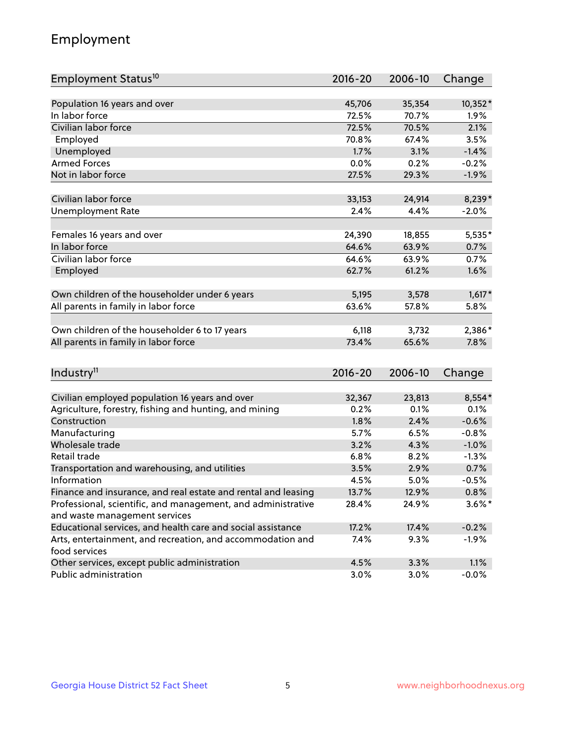## Employment

| Employment Status <sup>10</sup>                                             | $2016 - 20$ | 2006-10 | Change    |
|-----------------------------------------------------------------------------|-------------|---------|-----------|
|                                                                             |             |         |           |
| Population 16 years and over                                                | 45,706      | 35,354  | 10,352*   |
| In labor force                                                              | 72.5%       | 70.7%   | 1.9%      |
| Civilian labor force                                                        | 72.5%       | 70.5%   | 2.1%      |
| Employed                                                                    | 70.8%       | 67.4%   | 3.5%      |
| Unemployed                                                                  | 1.7%        | 3.1%    | $-1.4%$   |
| <b>Armed Forces</b>                                                         | 0.0%        | 0.2%    | $-0.2%$   |
| Not in labor force                                                          | 27.5%       | 29.3%   | $-1.9%$   |
| Civilian labor force                                                        | 33,153      | 24,914  | 8,239*    |
| <b>Unemployment Rate</b>                                                    | 2.4%        | 4.4%    | $-2.0%$   |
|                                                                             |             |         |           |
| Females 16 years and over                                                   | 24,390      | 18,855  | 5,535*    |
| In labor force                                                              | 64.6%       | 63.9%   | 0.7%      |
| Civilian labor force                                                        | 64.6%       | 63.9%   | 0.7%      |
| Employed                                                                    | 62.7%       | 61.2%   | 1.6%      |
|                                                                             |             |         |           |
| Own children of the householder under 6 years                               | 5,195       | 3,578   | $1,617*$  |
| All parents in family in labor force                                        | 63.6%       | 57.8%   | 5.8%      |
| Own children of the householder 6 to 17 years                               | 6,118       | 3,732   | 2,386*    |
| All parents in family in labor force                                        | 73.4%       | 65.6%   | 7.8%      |
|                                                                             |             |         |           |
| Industry <sup>11</sup>                                                      | $2016 - 20$ | 2006-10 | Change    |
|                                                                             |             |         |           |
| Civilian employed population 16 years and over                              | 32,367      | 23,813  | $8,554*$  |
| Agriculture, forestry, fishing and hunting, and mining                      | 0.2%        | 0.1%    | 0.1%      |
| Construction                                                                | 1.8%        | 2.4%    | $-0.6%$   |
| Manufacturing                                                               | 5.7%        | 6.5%    | $-0.8%$   |
| Wholesale trade                                                             | 3.2%        | 4.3%    | $-1.0%$   |
| Retail trade                                                                | 6.8%        | 8.2%    | $-1.3%$   |
| Transportation and warehousing, and utilities                               | 3.5%        | 2.9%    | 0.7%      |
| Information                                                                 | 4.5%        | 5.0%    | $-0.5%$   |
| Finance and insurance, and real estate and rental and leasing               | 13.7%       | 12.9%   | 0.8%      |
| Professional, scientific, and management, and administrative                | 28.4%       | 24.9%   | $3.6\%$ * |
| and waste management services                                               |             |         |           |
| Educational services, and health care and social assistance                 | 17.2%       | 17.4%   | $-0.2%$   |
| Arts, entertainment, and recreation, and accommodation and<br>food services | 7.4%        | 9.3%    | $-1.9%$   |
| Other services, except public administration                                | 4.5%        | 3.3%    | 1.1%      |
| Public administration                                                       | 3.0%        | 3.0%    | $-0.0%$   |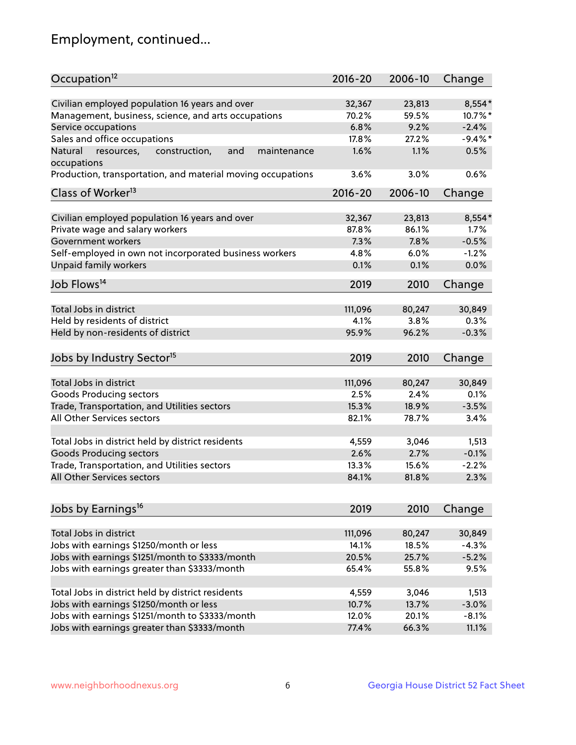## Employment, continued...

| Occupation <sup>12</sup>                                                    | $2016 - 20$ | 2006-10 | Change     |
|-----------------------------------------------------------------------------|-------------|---------|------------|
| Civilian employed population 16 years and over                              | 32,367      | 23,813  | $8,554*$   |
| Management, business, science, and arts occupations                         | 70.2%       | 59.5%   | 10.7%*     |
| Service occupations                                                         | 6.8%        | 9.2%    | $-2.4%$    |
| Sales and office occupations                                                | 17.8%       | 27.2%   | $-9.4\%$ * |
|                                                                             | 1.6%        | 1.1%    | 0.5%       |
| Natural<br>and<br>resources,<br>construction,<br>maintenance<br>occupations |             |         |            |
| Production, transportation, and material moving occupations                 | 3.6%        | 3.0%    | 0.6%       |
| Class of Worker <sup>13</sup>                                               | $2016 - 20$ | 2006-10 | Change     |
|                                                                             |             |         |            |
| Civilian employed population 16 years and over                              | 32,367      | 23,813  | 8,554*     |
| Private wage and salary workers                                             | 87.8%       | 86.1%   | 1.7%       |
| Government workers                                                          | 7.3%        | 7.8%    | $-0.5%$    |
| Self-employed in own not incorporated business workers                      | 4.8%        | 6.0%    | $-1.2%$    |
| Unpaid family workers                                                       | 0.1%        | 0.1%    | 0.0%       |
| Job Flows <sup>14</sup>                                                     | 2019        | 2010    | Change     |
|                                                                             |             |         |            |
| Total Jobs in district                                                      | 111,096     | 80,247  | 30,849     |
| Held by residents of district                                               | 4.1%        | 3.8%    | 0.3%       |
| Held by non-residents of district                                           | 95.9%       | 96.2%   | $-0.3%$    |
| Jobs by Industry Sector <sup>15</sup>                                       | 2019        | 2010    | Change     |
|                                                                             |             |         |            |
| Total Jobs in district                                                      | 111,096     | 80,247  | 30,849     |
| Goods Producing sectors                                                     | 2.5%        | 2.4%    | 0.1%       |
| Trade, Transportation, and Utilities sectors                                | 15.3%       | 18.9%   | $-3.5%$    |
| All Other Services sectors                                                  | 82.1%       | 78.7%   | 3.4%       |
| Total Jobs in district held by district residents                           | 4,559       | 3,046   | 1,513      |
| <b>Goods Producing sectors</b>                                              | 2.6%        | 2.7%    | $-0.1%$    |
| Trade, Transportation, and Utilities sectors                                | 13.3%       | 15.6%   | $-2.2%$    |
| All Other Services sectors                                                  | 84.1%       | 81.8%   | 2.3%       |
|                                                                             |             |         |            |
| Jobs by Earnings <sup>16</sup>                                              | 2019        | 2010    | Change     |
|                                                                             |             |         |            |
| Total Jobs in district                                                      | 111,096     | 80,247  | 30,849     |
| Jobs with earnings \$1250/month or less                                     | 14.1%       | 18.5%   | $-4.3%$    |
| Jobs with earnings \$1251/month to \$3333/month                             | 20.5%       | 25.7%   | $-5.2%$    |
| Jobs with earnings greater than \$3333/month                                | 65.4%       | 55.8%   | 9.5%       |
| Total Jobs in district held by district residents                           | 4,559       | 3,046   | 1,513      |
| Jobs with earnings \$1250/month or less                                     | 10.7%       | 13.7%   | $-3.0%$    |
| Jobs with earnings \$1251/month to \$3333/month                             | 12.0%       | 20.1%   | $-8.1%$    |
| Jobs with earnings greater than \$3333/month                                | 77.4%       | 66.3%   | 11.1%      |
|                                                                             |             |         |            |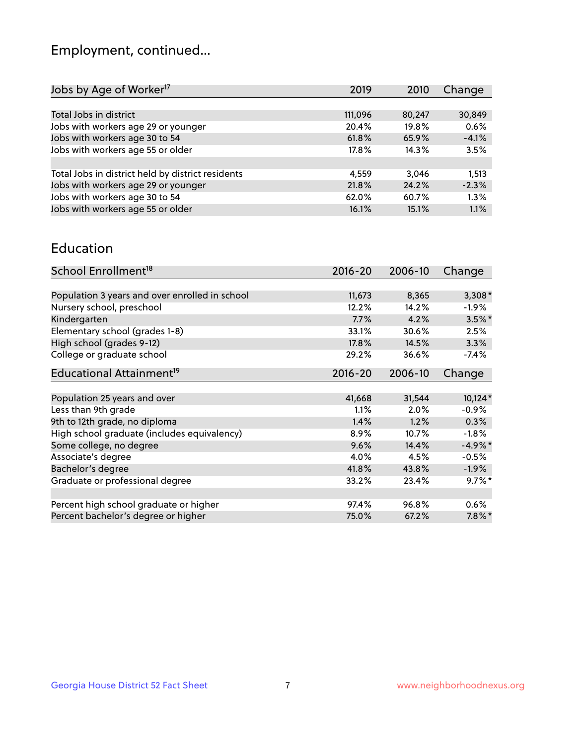## Employment, continued...

| Jobs by Age of Worker <sup>17</sup>               | 2019     | 2010   | Change  |
|---------------------------------------------------|----------|--------|---------|
|                                                   |          |        |         |
| Total Jobs in district                            | 111,096  | 80,247 | 30,849  |
| Jobs with workers age 29 or younger               | 20.4%    | 19.8%  | 0.6%    |
| Jobs with workers age 30 to 54                    | 61.8%    | 65.9%  | $-4.1%$ |
| Jobs with workers age 55 or older                 | $17.8\%$ | 14.3%  | 3.5%    |
|                                                   |          |        |         |
| Total Jobs in district held by district residents | 4.559    | 3.046  | 1,513   |
| Jobs with workers age 29 or younger               | 21.8%    | 24.2%  | $-2.3%$ |
| Jobs with workers age 30 to 54                    | 62.0%    | 60.7%  | 1.3%    |
| Jobs with workers age 55 or older                 | 16.1%    | 15.1%  | 1.1%    |

#### Education

| School Enrollment <sup>18</sup>                | $2016 - 20$ | 2006-10 | Change    |
|------------------------------------------------|-------------|---------|-----------|
|                                                |             |         |           |
| Population 3 years and over enrolled in school | 11,673      | 8,365   | $3,308*$  |
| Nursery school, preschool                      | 12.2%       | 14.2%   | $-1.9\%$  |
| Kindergarten                                   | 7.7%        | 4.2%    | $3.5\%$ * |
| Elementary school (grades 1-8)                 | 33.1%       | 30.6%   | 2.5%      |
| High school (grades 9-12)                      | 17.8%       | 14.5%   | 3.3%      |
| College or graduate school                     | 29.2%       | 36.6%   | $-7.4\%$  |
| Educational Attainment <sup>19</sup>           | $2016 - 20$ | 2006-10 | Change    |
|                                                |             |         |           |
| Population 25 years and over                   | 41,668      | 31,544  | 10,124*   |
| Less than 9th grade                            | 1.1%        | $2.0\%$ | $-0.9%$   |
| 9th to 12th grade, no diploma                  | 1.4%        | 1.2%    | $0.3\%$   |
| High school graduate (includes equivalency)    | 8.9%        | 10.7%   | $-1.8%$   |
| Some college, no degree                        | 9.6%        | 14.4%   | $-4.9%$ * |
| Associate's degree                             | 4.0%        | 4.5%    | $-0.5%$   |
| Bachelor's degree                              | 41.8%       | 43.8%   | $-1.9\%$  |
| Graduate or professional degree                | 33.2%       | 23.4%   | $9.7\%$ * |
|                                                |             |         |           |
| Percent high school graduate or higher         | 97.4%       | 96.8%   | 0.6%      |
| Percent bachelor's degree or higher            | 75.0%       | 67.2%   | $7.8\%$ * |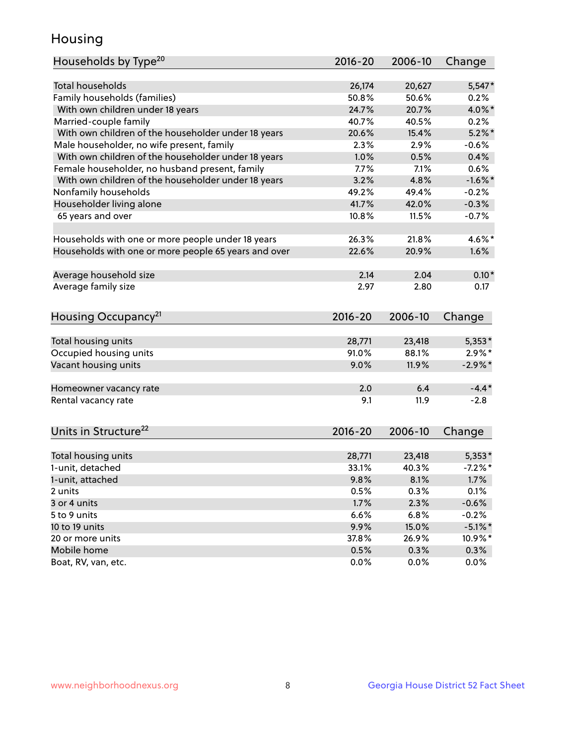## Housing

| Households by Type <sup>20</sup>                     | 2016-20 | 2006-10 | Change     |
|------------------------------------------------------|---------|---------|------------|
|                                                      |         |         |            |
| <b>Total households</b>                              | 26,174  | 20,627  | $5,547*$   |
| Family households (families)                         | 50.8%   | 50.6%   | $0.2\%$    |
| With own children under 18 years                     | 24.7%   | 20.7%   | 4.0%*      |
| Married-couple family                                | 40.7%   | 40.5%   | 0.2%       |
| With own children of the householder under 18 years  | 20.6%   | 15.4%   | $5.2\%$ *  |
| Male householder, no wife present, family            | 2.3%    | 2.9%    | $-0.6%$    |
| With own children of the householder under 18 years  | 1.0%    | 0.5%    | 0.4%       |
| Female householder, no husband present, family       | 7.7%    | 7.1%    | 0.6%       |
| With own children of the householder under 18 years  | 3.2%    | 4.8%    | $-1.6\%$ * |
| Nonfamily households                                 | 49.2%   | 49.4%   | $-0.2%$    |
| Householder living alone                             | 41.7%   | 42.0%   | $-0.3%$    |
| 65 years and over                                    | 10.8%   | 11.5%   | $-0.7%$    |
|                                                      |         |         |            |
| Households with one or more people under 18 years    | 26.3%   | 21.8%   | 4.6%*      |
| Households with one or more people 65 years and over | 22.6%   | 20.9%   | 1.6%       |
|                                                      |         |         |            |
| Average household size                               | 2.14    | 2.04    | $0.10*$    |
| Average family size                                  | 2.97    | 2.80    | 0.17       |
|                                                      |         |         |            |
| Housing Occupancy <sup>21</sup>                      | 2016-20 | 2006-10 | Change     |
|                                                      |         |         |            |
| Total housing units                                  | 28,771  | 23,418  | $5,353*$   |
| Occupied housing units                               | 91.0%   | 88.1%   | $2.9\%*$   |
| Vacant housing units                                 | 9.0%    | 11.9%   | $-2.9\%$ * |
|                                                      |         |         |            |
| Homeowner vacancy rate                               | 2.0     | 6.4     | $-4.4*$    |
| Rental vacancy rate                                  | 9.1     | 11.9    | $-2.8$     |
|                                                      |         |         |            |
| Units in Structure <sup>22</sup>                     | 2016-20 | 2006-10 | Change     |
|                                                      |         |         |            |
| Total housing units                                  | 28,771  | 23,418  | $5,353*$   |
| 1-unit, detached                                     | 33.1%   | 40.3%   | $-7.2%$ *  |
| 1-unit, attached                                     | 9.8%    | 8.1%    | 1.7%       |
| 2 units                                              | 0.5%    | 0.3%    | 0.1%       |
| 3 or 4 units                                         | 1.7%    | 2.3%    | $-0.6%$    |
| 5 to 9 units                                         | 6.6%    | 6.8%    | $-0.2%$    |
| 10 to 19 units                                       | 9.9%    | 15.0%   | $-5.1\%$ * |
| 20 or more units                                     | 37.8%   | 26.9%   |            |
| Mobile home                                          | 0.5%    | 0.3%    | 10.9%*     |
|                                                      |         |         | 0.3%       |
| Boat, RV, van, etc.                                  | 0.0%    | 0.0%    | 0.0%       |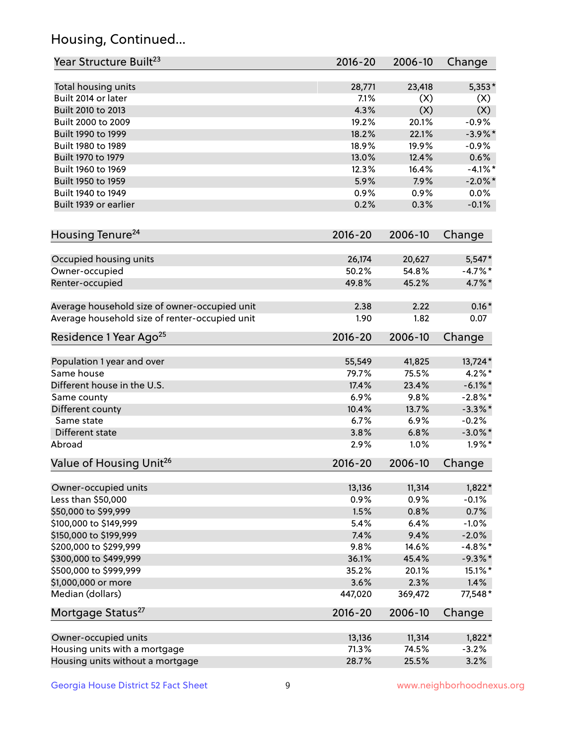## Housing, Continued...

| Year Structure Built <sup>23</sup>             | 2016-20     | 2006-10 | Change     |
|------------------------------------------------|-------------|---------|------------|
| Total housing units                            | 28,771      | 23,418  | $5,353*$   |
| Built 2014 or later                            | 7.1%        | (X)     | (X)        |
| Built 2010 to 2013                             | 4.3%        | (X)     | (X)        |
| Built 2000 to 2009                             | 19.2%       | 20.1%   | $-0.9%$    |
| Built 1990 to 1999                             | 18.2%       | 22.1%   | $-3.9\%$ * |
| Built 1980 to 1989                             | 18.9%       | 19.9%   | $-0.9%$    |
| Built 1970 to 1979                             | 13.0%       | 12.4%   | 0.6%       |
| Built 1960 to 1969                             | 12.3%       | 16.4%   | $-4.1%$ *  |
| Built 1950 to 1959                             | 5.9%        | 7.9%    | $-2.0\%$ * |
| Built 1940 to 1949                             | 0.9%        | 0.9%    | 0.0%       |
| Built 1939 or earlier                          | 0.2%        | 0.3%    | $-0.1%$    |
| Housing Tenure <sup>24</sup>                   | $2016 - 20$ | 2006-10 | Change     |
| Occupied housing units                         | 26,174      | 20,627  | $5,547*$   |
| Owner-occupied                                 | 50.2%       | 54.8%   | $-4.7\%$ * |
| Renter-occupied                                | 49.8%       | 45.2%   | 4.7%*      |
| Average household size of owner-occupied unit  | 2.38        | 2.22    | $0.16*$    |
| Average household size of renter-occupied unit | 1.90        | 1.82    | 0.07       |
| Residence 1 Year Ago <sup>25</sup>             | 2016-20     | 2006-10 | Change     |
| Population 1 year and over                     | 55,549      | 41,825  | 13,724*    |
| Same house                                     | 79.7%       | 75.5%   | $4.2\%$ *  |
| Different house in the U.S.                    | 17.4%       | 23.4%   | $-6.1\%$ * |
| Same county                                    | 6.9%        | 9.8%    | $-2.8\%$ * |
| Different county                               | 10.4%       | 13.7%   | $-3.3\%$ * |
| Same state                                     | 6.7%        | 6.9%    | $-0.2%$    |
| Different state                                | 3.8%        | 6.8%    | $-3.0\%$ * |
| Abroad                                         | 2.9%        | 1.0%    | $1.9\%$ *  |
| Value of Housing Unit <sup>26</sup>            | $2016 - 20$ | 2006-10 | Change     |
| Owner-occupied units                           | 13,136      | 11,314  | $1,822*$   |
| Less than \$50,000                             | 0.9%        | 0.9%    | $-0.1%$    |
| \$50,000 to \$99,999                           | 1.5%        | 0.8%    | 0.7%       |
| \$100,000 to \$149,999                         | 5.4%        | 6.4%    | $-1.0%$    |
| \$150,000 to \$199,999                         | 7.4%        | 9.4%    | $-2.0%$    |
| \$200,000 to \$299,999                         | 9.8%        | 14.6%   | $-4.8\%$ * |
| \$300,000 to \$499,999                         | 36.1%       | 45.4%   | $-9.3\%$ * |
| \$500,000 to \$999,999                         | 35.2%       | 20.1%   | 15.1%*     |
| \$1,000,000 or more                            | 3.6%        | 2.3%    | 1.4%       |
| Median (dollars)                               | 447,020     | 369,472 | 77,548*    |
| Mortgage Status <sup>27</sup>                  | $2016 - 20$ | 2006-10 | Change     |
| Owner-occupied units                           | 13,136      | 11,314  | $1,822*$   |
| Housing units with a mortgage                  | 71.3%       | 74.5%   | $-3.2%$    |
| Housing units without a mortgage               | 28.7%       | 25.5%   | 3.2%       |
|                                                |             |         |            |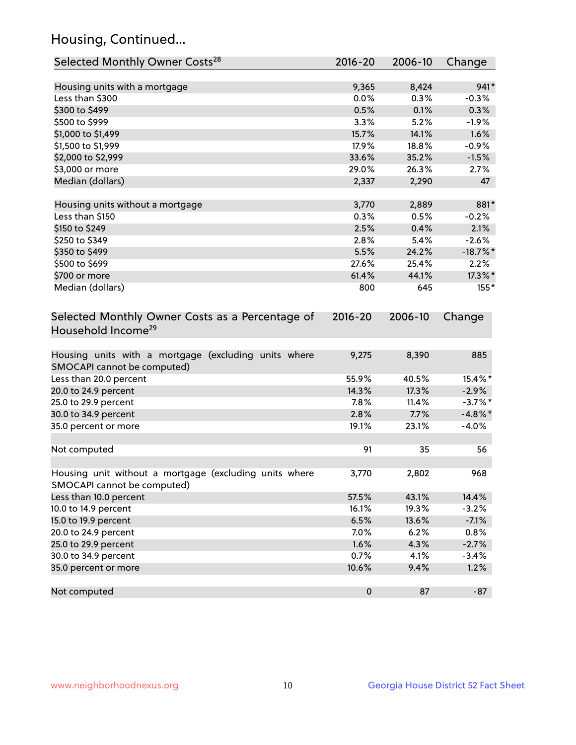## Housing, Continued...

| Selected Monthly Owner Costs <sup>28</sup>                                            | 2016-20     | 2006-10 | Change      |
|---------------------------------------------------------------------------------------|-------------|---------|-------------|
| Housing units with a mortgage                                                         | 9,365       | 8,424   | $941*$      |
| Less than \$300                                                                       | 0.0%        | 0.3%    | $-0.3%$     |
| \$300 to \$499                                                                        | 0.5%        | 0.1%    | 0.3%        |
| \$500 to \$999                                                                        | 3.3%        | 5.2%    | $-1.9%$     |
| \$1,000 to \$1,499                                                                    | 15.7%       | 14.1%   | 1.6%        |
| \$1,500 to \$1,999                                                                    | 17.9%       | 18.8%   | $-0.9%$     |
| \$2,000 to \$2,999                                                                    | 33.6%       | 35.2%   | $-1.5%$     |
| \$3,000 or more                                                                       | 29.0%       | 26.3%   | 2.7%        |
| Median (dollars)                                                                      | 2,337       | 2,290   | 47          |
| Housing units without a mortgage                                                      | 3,770       | 2,889   | 881*        |
| Less than \$150                                                                       | 0.3%        | 0.5%    | $-0.2%$     |
| \$150 to \$249                                                                        | 2.5%        | 0.4%    | 2.1%        |
| \$250 to \$349                                                                        | 2.8%        | 5.4%    | $-2.6%$     |
| \$350 to \$499                                                                        | 5.5%        | 24.2%   | $-18.7\%$ * |
| \$500 to \$699                                                                        | 27.6%       | 25.4%   | 2.2%        |
| \$700 or more                                                                         | 61.4%       | 44.1%   | 17.3%*      |
| Median (dollars)                                                                      | 800         | 645     | $155*$      |
| Selected Monthly Owner Costs as a Percentage of<br>Household Income <sup>29</sup>     | $2016 - 20$ | 2006-10 | Change      |
| Housing units with a mortgage (excluding units where<br>SMOCAPI cannot be computed)   | 9,275       | 8,390   | 885         |
| Less than 20.0 percent                                                                | 55.9%       | 40.5%   | 15.4%*      |
| 20.0 to 24.9 percent                                                                  | 14.3%       | 17.3%   | $-2.9%$     |
| 25.0 to 29.9 percent                                                                  | 7.8%        | 11.4%   | $-3.7\%$ *  |
| 30.0 to 34.9 percent                                                                  | 2.8%        | 7.7%    | $-4.8\%$ *  |
| 35.0 percent or more                                                                  | 19.1%       | 23.1%   | $-4.0%$     |
| Not computed                                                                          | 91          | 35      | 56          |
| Housing unit without a mortgage (excluding units where<br>SMOCAPI cannot be computed) | 3,770       | 2,802   | 968         |
| Less than 10.0 percent                                                                | 57.5%       | 43.1%   | 14.4%       |
| 10.0 to 14.9 percent                                                                  | 16.1%       | 19.3%   | $-3.2%$     |
| 15.0 to 19.9 percent                                                                  | 6.5%        | 13.6%   | $-7.1%$     |
| 20.0 to 24.9 percent                                                                  | 7.0%        | 6.2%    | 0.8%        |
| 25.0 to 29.9 percent                                                                  | 1.6%        | 4.3%    | $-2.7%$     |
| 30.0 to 34.9 percent                                                                  | 0.7%        | 4.1%    | $-3.4%$     |
| 35.0 percent or more                                                                  | 10.6%       | 9.4%    | 1.2%        |
| Not computed                                                                          | $\pmb{0}$   | 87      | $-87$       |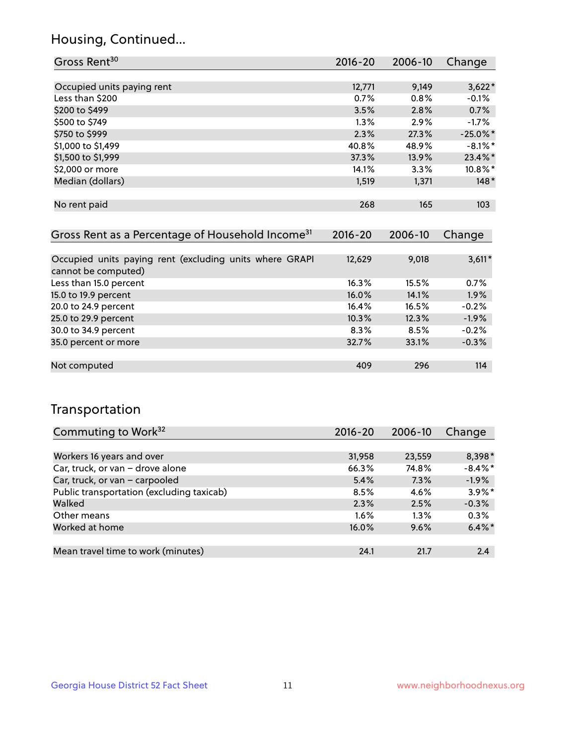## Housing, Continued...

| Gross Rent <sup>30</sup>   | 2016-20 | 2006-10 | Change      |
|----------------------------|---------|---------|-------------|
|                            |         |         |             |
| Occupied units paying rent | 12,771  | 9,149   | $3,622*$    |
| Less than \$200            | 0.7%    | 0.8%    | $-0.1%$     |
| \$200 to \$499             | 3.5%    | 2.8%    | 0.7%        |
| \$500 to \$749             | 1.3%    | 2.9%    | $-1.7%$     |
| \$750 to \$999             | 2.3%    | 27.3%   | $-25.0\%$ * |
| \$1,000 to \$1,499         | 40.8%   | 48.9%   | $-8.1\%$ *  |
| \$1,500 to \$1,999         | 37.3%   | 13.9%   | 23.4%*      |
| \$2,000 or more            | 14.1%   | 3.3%    | $10.8\%$ *  |
| Median (dollars)           | 1,519   | 1,371   | $148*$      |
|                            |         |         |             |
| No rent paid               | 268     | 165     | 103         |
|                            |         |         |             |

| Gross Rent as a Percentage of Household Income <sup>31</sup>                   | $2016 - 20$ | 2006-10 | Change   |
|--------------------------------------------------------------------------------|-------------|---------|----------|
|                                                                                |             |         |          |
| Occupied units paying rent (excluding units where GRAPI<br>cannot be computed) | 12,629      | 9,018   | $3,611*$ |
| Less than 15.0 percent                                                         | 16.3%       | 15.5%   | 0.7%     |
| 15.0 to 19.9 percent                                                           | 16.0%       | 14.1%   | 1.9%     |
| 20.0 to 24.9 percent                                                           | 16.4%       | 16.5%   | $-0.2%$  |
| 25.0 to 29.9 percent                                                           | 10.3%       | 12.3%   | $-1.9%$  |
| 30.0 to 34.9 percent                                                           | 8.3%        | 8.5%    | $-0.2%$  |
| 35.0 percent or more                                                           | 32.7%       | 33.1%   | $-0.3%$  |
|                                                                                |             |         |          |
| Not computed                                                                   | 409         | 296     | 114      |

## Transportation

| Commuting to Work <sup>32</sup>           | 2016-20 | 2006-10 | Change     |
|-------------------------------------------|---------|---------|------------|
|                                           |         |         |            |
| Workers 16 years and over                 | 31,958  | 23,559  | 8,398*     |
| Car, truck, or van - drove alone          | 66.3%   | 74.8%   | $-8.4\%$ * |
| Car, truck, or van - carpooled            | 5.4%    | 7.3%    | $-1.9%$    |
| Public transportation (excluding taxicab) | 8.5%    | 4.6%    | $3.9\%$ *  |
| Walked                                    | 2.3%    | 2.5%    | $-0.3%$    |
| Other means                               | $1.6\%$ | $1.3\%$ | 0.3%       |
| Worked at home                            | 16.0%   | 9.6%    | $6.4\%$ *  |
|                                           |         |         |            |
| Mean travel time to work (minutes)        | 24.1    | 21.7    | 2.4        |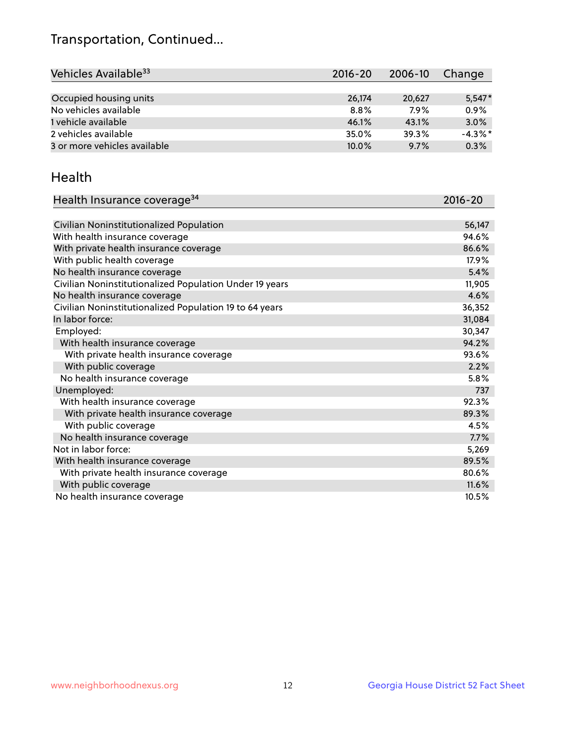## Transportation, Continued...

| Vehicles Available <sup>33</sup> | $2016 - 20$ | $2006 - 10$ | Change     |
|----------------------------------|-------------|-------------|------------|
|                                  |             |             |            |
| Occupied housing units           | 26,174      | 20,627      | $5,547*$   |
| No vehicles available            | 8.8%        | 7.9%        | 0.9%       |
| 1 vehicle available              | 46.1%       | 43.1%       | 3.0%       |
| 2 vehicles available             | 35.0%       | 39.3%       | $-4.3\%$ * |
| 3 or more vehicles available     | 10.0%       | 9.7%        | 0.3%       |

#### Health

| Health Insurance coverage <sup>34</sup>                 | 2016-20 |
|---------------------------------------------------------|---------|
|                                                         |         |
| Civilian Noninstitutionalized Population                | 56,147  |
| With health insurance coverage                          | 94.6%   |
| With private health insurance coverage                  | 86.6%   |
| With public health coverage                             | 17.9%   |
| No health insurance coverage                            | 5.4%    |
| Civilian Noninstitutionalized Population Under 19 years | 11,905  |
| No health insurance coverage                            | 4.6%    |
| Civilian Noninstitutionalized Population 19 to 64 years | 36,352  |
| In labor force:                                         | 31,084  |
| Employed:                                               | 30,347  |
| With health insurance coverage                          | 94.2%   |
| With private health insurance coverage                  | 93.6%   |
| With public coverage                                    | 2.2%    |
| No health insurance coverage                            | 5.8%    |
| Unemployed:                                             | 737     |
| With health insurance coverage                          | 92.3%   |
| With private health insurance coverage                  | 89.3%   |
| With public coverage                                    | 4.5%    |
| No health insurance coverage                            | 7.7%    |
| Not in labor force:                                     | 5,269   |
| With health insurance coverage                          | 89.5%   |
| With private health insurance coverage                  | 80.6%   |
| With public coverage                                    | 11.6%   |
| No health insurance coverage                            | 10.5%   |